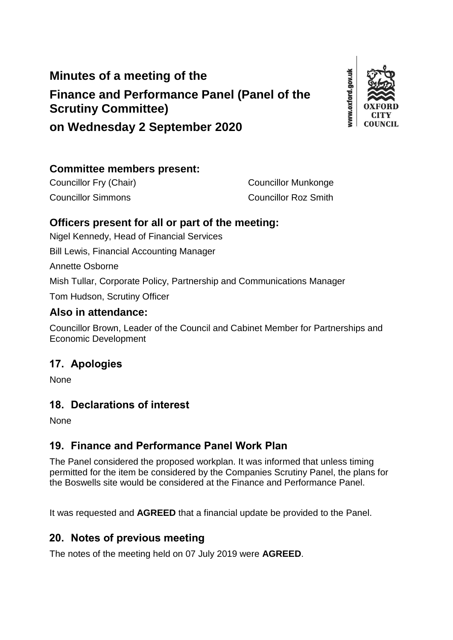# **Minutes of a meeting of the Finance and Performance Panel (Panel of the Scrutiny Committee) on Wednesday 2 September 2020**



## **Committee members present:**

Councillor Fry (Chair) Councillor Munkonge Councillor Simmons Councillor Roz Smith

#### **Officers present for all or part of the meeting:**

Nigel Kennedy, Head of Financial Services

Bill Lewis, Financial Accounting Manager

Annette Osborne

Mish Tullar, Corporate Policy, Partnership and Communications Manager

Tom Hudson, Scrutiny Officer

#### **Also in attendance:**

Councillor Brown, Leader of the Council and Cabinet Member for Partnerships and Economic Development

## **17. Apologies**

None

## **18. Declarations of interest**

None

## **19. Finance and Performance Panel Work Plan**

The Panel considered the proposed workplan. It was informed that unless timing permitted for the item be considered by the Companies Scrutiny Panel, the plans for the Boswells site would be considered at the Finance and Performance Panel.

It was requested and **AGREED** that a financial update be provided to the Panel.

## **20. Notes of previous meeting**

The notes of the meeting held on 07 July 2019 were **AGREED**.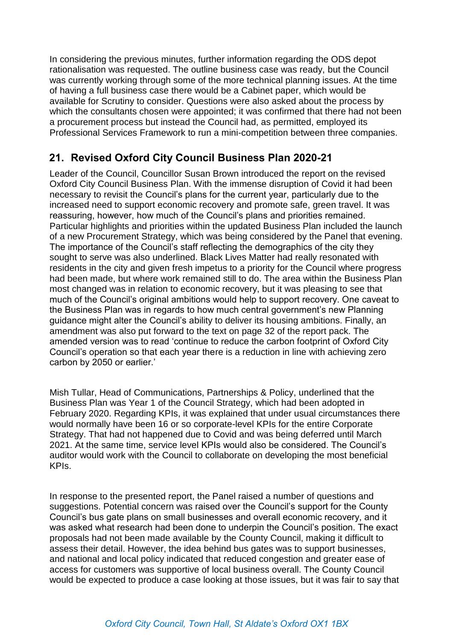In considering the previous minutes, further information regarding the ODS depot rationalisation was requested. The outline business case was ready, but the Council was currently working through some of the more technical planning issues. At the time of having a full business case there would be a Cabinet paper, which would be available for Scrutiny to consider. Questions were also asked about the process by which the consultants chosen were appointed; it was confirmed that there had not been a procurement process but instead the Council had, as permitted, employed its Professional Services Framework to run a mini-competition between three companies.

## **21. Revised Oxford City Council Business Plan 2020-21**

Leader of the Council, Councillor Susan Brown introduced the report on the revised Oxford City Council Business Plan. With the immense disruption of Covid it had been necessary to revisit the Council's plans for the current year, particularly due to the increased need to support economic recovery and promote safe, green travel. It was reassuring, however, how much of the Council's plans and priorities remained. Particular highlights and priorities within the updated Business Plan included the launch of a new Procurement Strategy, which was being considered by the Panel that evening. The importance of the Council's staff reflecting the demographics of the city they sought to serve was also underlined. Black Lives Matter had really resonated with residents in the city and given fresh impetus to a priority for the Council where progress had been made, but where work remained still to do. The area within the Business Plan most changed was in relation to economic recovery, but it was pleasing to see that much of the Council's original ambitions would help to support recovery. One caveat to the Business Plan was in regards to how much central government's new Planning guidance might alter the Council's ability to deliver its housing ambitions. Finally, an amendment was also put forward to the text on page 32 of the report pack. The amended version was to read 'continue to reduce the carbon footprint of Oxford City Council's operation so that each year there is a reduction in line with achieving zero carbon by 2050 or earlier.'

Mish Tullar, Head of Communications, Partnerships & Policy, underlined that the Business Plan was Year 1 of the Council Strategy, which had been adopted in February 2020. Regarding KPIs, it was explained that under usual circumstances there would normally have been 16 or so corporate-level KPIs for the entire Corporate Strategy. That had not happened due to Covid and was being deferred until March 2021. At the same time, service level KPIs would also be considered. The Council's auditor would work with the Council to collaborate on developing the most beneficial KPIs.

In response to the presented report, the Panel raised a number of questions and suggestions. Potential concern was raised over the Council's support for the County Council's bus gate plans on small businesses and overall economic recovery, and it was asked what research had been done to underpin the Council's position. The exact proposals had not been made available by the County Council, making it difficult to assess their detail. However, the idea behind bus gates was to support businesses, and national and local policy indicated that reduced congestion and greater ease of access for customers was supportive of local business overall. The County Council would be expected to produce a case looking at those issues, but it was fair to say that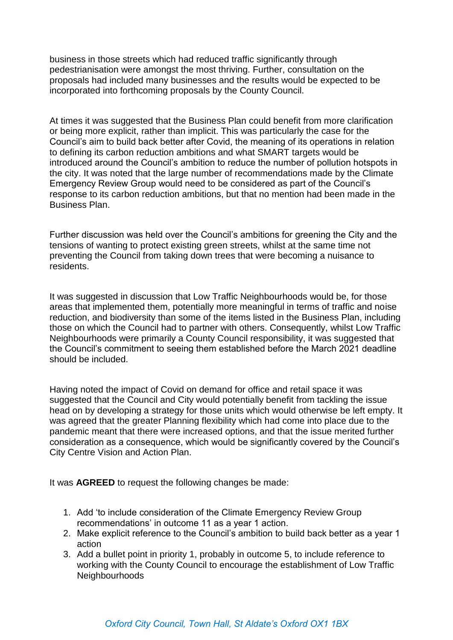business in those streets which had reduced traffic significantly through pedestrianisation were amongst the most thriving. Further, consultation on the proposals had included many businesses and the results would be expected to be incorporated into forthcoming proposals by the County Council.

At times it was suggested that the Business Plan could benefit from more clarification or being more explicit, rather than implicit. This was particularly the case for the Council's aim to build back better after Covid, the meaning of its operations in relation to defining its carbon reduction ambitions and what SMART targets would be introduced around the Council's ambition to reduce the number of pollution hotspots in the city. It was noted that the large number of recommendations made by the Climate Emergency Review Group would need to be considered as part of the Council's response to its carbon reduction ambitions, but that no mention had been made in the Business Plan.

Further discussion was held over the Council's ambitions for greening the City and the tensions of wanting to protect existing green streets, whilst at the same time not preventing the Council from taking down trees that were becoming a nuisance to residents.

It was suggested in discussion that Low Traffic Neighbourhoods would be, for those areas that implemented them, potentially more meaningful in terms of traffic and noise reduction, and biodiversity than some of the items listed in the Business Plan, including those on which the Council had to partner with others. Consequently, whilst Low Traffic Neighbourhoods were primarily a County Council responsibility, it was suggested that the Council's commitment to seeing them established before the March 2021 deadline should be included.

Having noted the impact of Covid on demand for office and retail space it was suggested that the Council and City would potentially benefit from tackling the issue head on by developing a strategy for those units which would otherwise be left empty. It was agreed that the greater Planning flexibility which had come into place due to the pandemic meant that there were increased options, and that the issue merited further consideration as a consequence, which would be significantly covered by the Council's City Centre Vision and Action Plan.

It was **AGREED** to request the following changes be made:

- 1. Add 'to include consideration of the Climate Emergency Review Group recommendations' in outcome 11 as a year 1 action.
- 2. Make explicit reference to the Council's ambition to build back better as a year 1 action
- 3. Add a bullet point in priority 1, probably in outcome 5, to include reference to working with the County Council to encourage the establishment of Low Traffic **Neighbourhoods**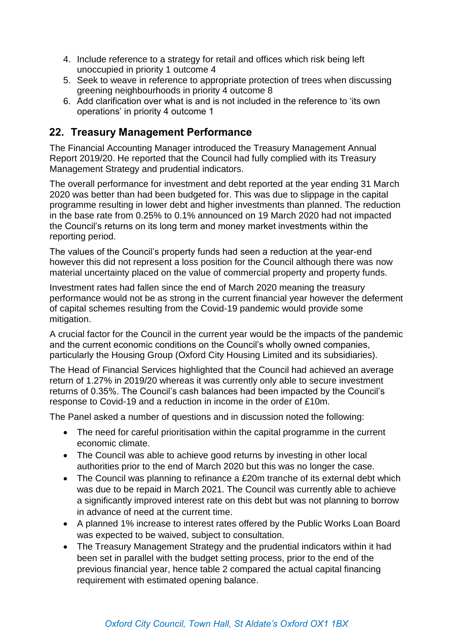- 4. Include reference to a strategy for retail and offices which risk being left unoccupied in priority 1 outcome 4
- 5. Seek to weave in reference to appropriate protection of trees when discussing greening neighbourhoods in priority 4 outcome 8
- 6. Add clarification over what is and is not included in the reference to 'its own operations' in priority 4 outcome 1

#### **22. Treasury Management Performance**

The Financial Accounting Manager introduced the Treasury Management Annual Report 2019/20. He reported that the Council had fully complied with its Treasury Management Strategy and prudential indicators.

The overall performance for investment and debt reported at the year ending 31 March 2020 was better than had been budgeted for. This was due to slippage in the capital programme resulting in lower debt and higher investments than planned. The reduction in the base rate from 0.25% to 0.1% announced on 19 March 2020 had not impacted the Council's returns on its long term and money market investments within the reporting period.

The values of the Council's property funds had seen a reduction at the year-end however this did not represent a loss position for the Council although there was now material uncertainty placed on the value of commercial property and property funds.

Investment rates had fallen since the end of March 2020 meaning the treasury performance would not be as strong in the current financial year however the deferment of capital schemes resulting from the Covid-19 pandemic would provide some mitigation.

A crucial factor for the Council in the current year would be the impacts of the pandemic and the current economic conditions on the Council's wholly owned companies, particularly the Housing Group (Oxford City Housing Limited and its subsidiaries).

The Head of Financial Services highlighted that the Council had achieved an average return of 1.27% in 2019/20 whereas it was currently only able to secure investment returns of 0.35%. The Council's cash balances had been impacted by the Council's response to Covid-19 and a reduction in income in the order of £10m.

The Panel asked a number of questions and in discussion noted the following:

- The need for careful prioritisation within the capital programme in the current economic climate.
- The Council was able to achieve good returns by investing in other local authorities prior to the end of March 2020 but this was no longer the case.
- The Council was planning to refinance a £20m tranche of its external debt which was due to be repaid in March 2021. The Council was currently able to achieve a significantly improved interest rate on this debt but was not planning to borrow in advance of need at the current time.
- A planned 1% increase to interest rates offered by the Public Works Loan Board was expected to be waived, subject to consultation.
- The Treasury Management Strategy and the prudential indicators within it had been set in parallel with the budget setting process, prior to the end of the previous financial year, hence table 2 compared the actual capital financing requirement with estimated opening balance.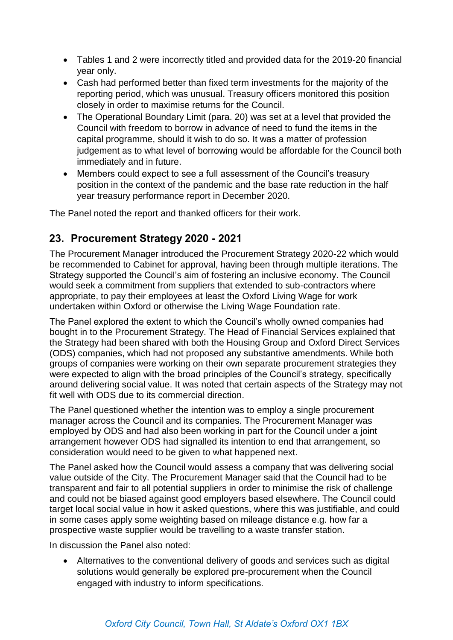- Tables 1 and 2 were incorrectly titled and provided data for the 2019-20 financial year only.
- Cash had performed better than fixed term investments for the majority of the reporting period, which was unusual. Treasury officers monitored this position closely in order to maximise returns for the Council.
- The Operational Boundary Limit (para. 20) was set at a level that provided the Council with freedom to borrow in advance of need to fund the items in the capital programme, should it wish to do so. It was a matter of profession judgement as to what level of borrowing would be affordable for the Council both immediately and in future.
- Members could expect to see a full assessment of the Council's treasury position in the context of the pandemic and the base rate reduction in the half year treasury performance report in December 2020.

The Panel noted the report and thanked officers for their work.

## **23. Procurement Strategy 2020 - 2021**

The Procurement Manager introduced the Procurement Strategy 2020-22 which would be recommended to Cabinet for approval, having been through multiple iterations. The Strategy supported the Council's aim of fostering an inclusive economy. The Council would seek a commitment from suppliers that extended to sub-contractors where appropriate, to pay their employees at least the Oxford Living Wage for work undertaken within Oxford or otherwise the Living Wage Foundation rate.

The Panel explored the extent to which the Council's wholly owned companies had bought in to the Procurement Strategy. The Head of Financial Services explained that the Strategy had been shared with both the Housing Group and Oxford Direct Services (ODS) companies, which had not proposed any substantive amendments. While both groups of companies were working on their own separate procurement strategies they were expected to align with the broad principles of the Council's strategy, specifically around delivering social value. It was noted that certain aspects of the Strategy may not fit well with ODS due to its commercial direction.

The Panel questioned whether the intention was to employ a single procurement manager across the Council and its companies. The Procurement Manager was employed by ODS and had also been working in part for the Council under a joint arrangement however ODS had signalled its intention to end that arrangement, so consideration would need to be given to what happened next.

The Panel asked how the Council would assess a company that was delivering social value outside of the City. The Procurement Manager said that the Council had to be transparent and fair to all potential suppliers in order to minimise the risk of challenge and could not be biased against good employers based elsewhere. The Council could target local social value in how it asked questions, where this was justifiable, and could in some cases apply some weighting based on mileage distance e.g. how far a prospective waste supplier would be travelling to a waste transfer station.

In discussion the Panel also noted:

 Alternatives to the conventional delivery of goods and services such as digital solutions would generally be explored pre-procurement when the Council engaged with industry to inform specifications.